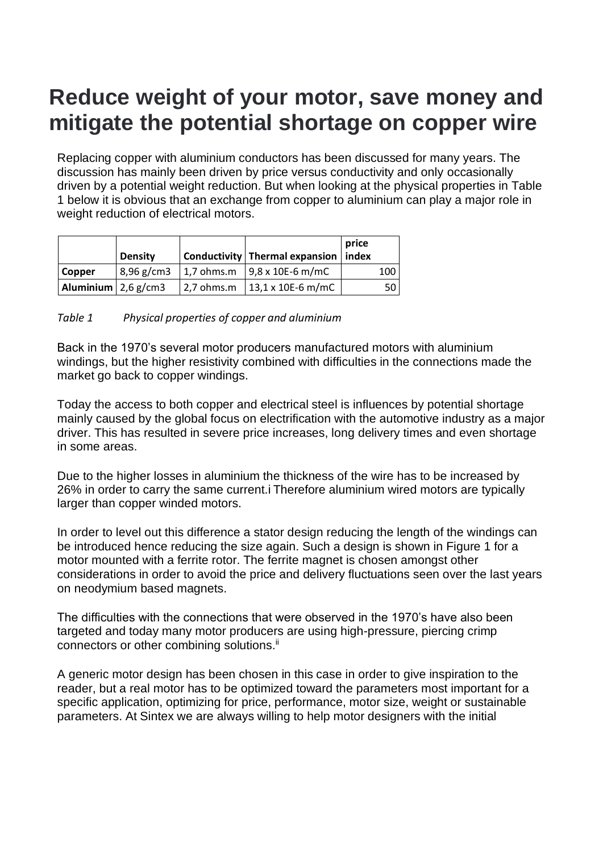# **Reduce weight of your motor, save money and mitigate the potential shortage on copper wire**

Replacing copper with aluminium conductors has been discussed for many years. The discussion has mainly been driven by price versus conductivity and only occasionally driven by a potential weight reduction. But when looking at the physical properties in Table 1 below it is obvious that an exchange from copper to aluminium can play a major role in weight reduction of electrical motors.

|                                      | <b>Density</b> | Conductivity   Thermal expansion   index                                       | price |     |
|--------------------------------------|----------------|--------------------------------------------------------------------------------|-------|-----|
| <b>Copper</b>                        |                | $\frac{1}{2}$ 8,96 g/cm3 $\frac{1}{2}$ ,7 ohms.m $\frac{1}{2}$ ,8 x 10E-6 m/mC |       | 100 |
| Aluminium $\sqrt{2.6 \text{ g/cm3}}$ |                | $2,7$ ohms.m $13,1 \times 10E - 6$ m/mC                                        |       | 50  |

#### *Table 1 Physical properties of copper and aluminium*

Back in the 1970's several motor producers manufactured motors with aluminium windings, but the higher resistivity combined with difficulties in the connections made the market go back to copper windings.

Today the access to both copper and electrical steel is influences by potential shortage mainly caused by the global focus on electrification with the automotive industry as a major driver. This has resulted in severe price increases, long delivery times and even shortage in some areas.

Due to the higher losses in aluminium the thickness of the wire has to be increased by 26% in order to carry the same current[.i](#page-4-0) Therefore aluminium wired motors are typically larger than copper winded motors.

In order to level out this difference a stator design reducing the length of the windings can be introduced hence reducing the size again. Such a design is shown in Figure 1 for a motor mounted with a ferrite rotor. The ferrite magnet is chosen amongst other considerations in order to avoid the price and delivery fluctuations seen over the last years on neodymium based magnets.

The difficulties with the connections that were observed in the 1970's have also been targeted and today many motor producers are using high-pressure, piercing crimp connectors or other combining solutions.<sup>[ii](#page-4-1)</sup>

A generic motor design has been chosen in this case in order to give inspiration to the reader, but a real motor has to be optimized toward the parameters most important for a specific application, optimizing for price, performance, motor size, weight or sustainable parameters. At Sintex we are always willing to help motor designers with the initial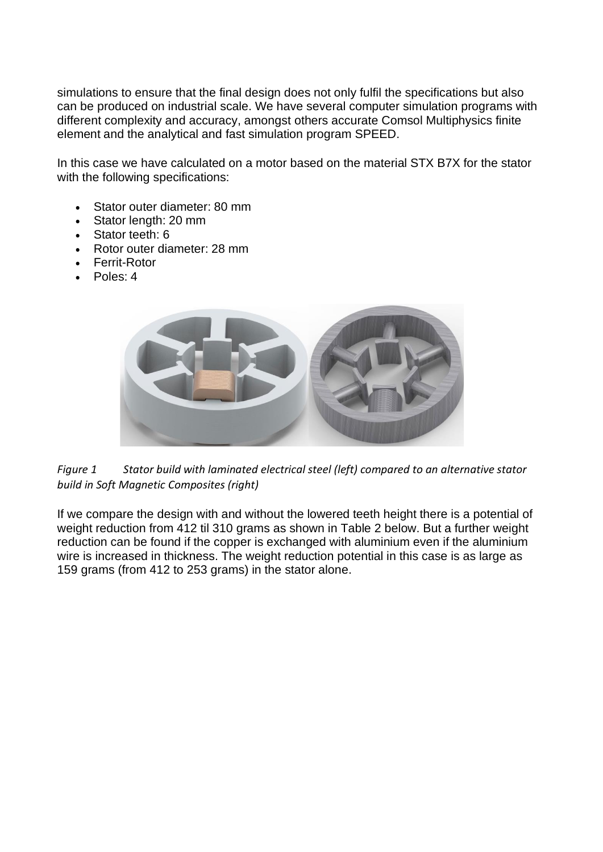simulations to ensure that the final design does not only fulfil the specifications but also can be produced on industrial scale. We have several computer simulation programs with different complexity and accuracy, amongst others accurate Comsol Multiphysics finite element and the analytical and fast simulation program SPEED.

In this case we have calculated on a motor based on the material STX B7X for the stator with the following specifications:

- Stator outer diameter: 80 mm
- Stator length: 20 mm
- Stator teeth: 6
- Rotor outer diameter: 28 mm
- Ferrit-Rotor
- Poles: 4





If we compare the design with and without the lowered teeth height there is a potential of weight reduction from 412 til 310 grams as shown in Table 2 below. But a further weight reduction can be found if the copper is exchanged with aluminium even if the aluminium wire is increased in thickness. The weight reduction potential in this case is as large as 159 grams (from 412 to 253 grams) in the stator alone.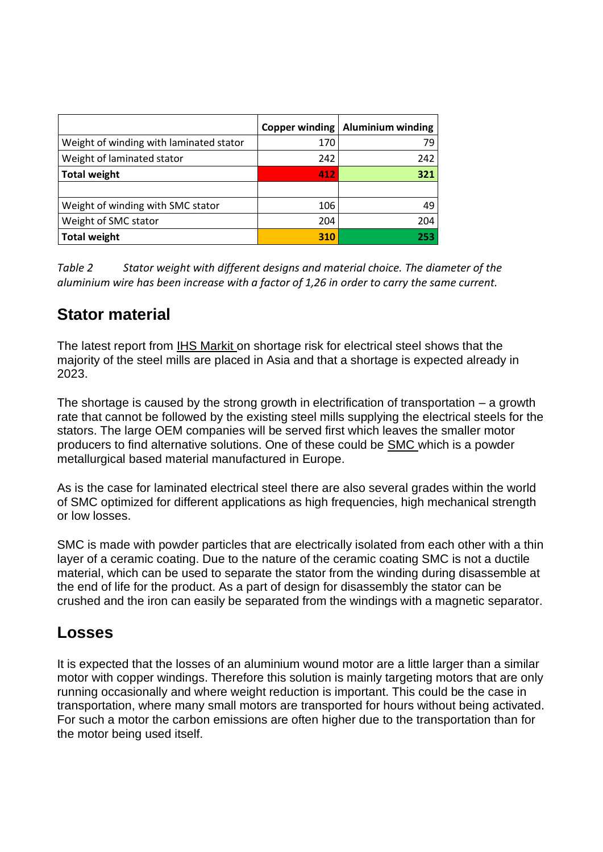|                                         |     | Copper winding   Aluminium winding |
|-----------------------------------------|-----|------------------------------------|
| Weight of winding with laminated stator | 170 | 79                                 |
| Weight of laminated stator              | 242 | 242                                |
| <b>Total weight</b>                     | 412 | 321                                |
|                                         |     |                                    |
| Weight of winding with SMC stator       | 106 | 49                                 |
| Weight of SMC stator                    | 204 | 204                                |
| <b>Total weight</b>                     | 310 | 253                                |

*Table 2 Stator weight with different designs and material choice. The diameter of the aluminium wire has been increase with a factor of 1,26 in order to carry the same current.*

## **Stator material**

The latest report from [IHS Markit](https://ihsmarkit.com/research-analysis/electrical-steel-another-temporary-supply-chain-shortage.html?hsid=be0ebe65-3385-48e3-a574-3521ccea5cf9) on shortage risk for electrical steel shows that the majority of the steel mills are placed in Asia and that a shortage is expected already in 2023.

The shortage is caused by the strong growth in electrification of transportation – a growth rate that cannot be followed by the existing steel mills supplying the electrical steels for the stators. The large OEM companies will be served first which leaves the smaller motor producers to find alternative solutions. One of these could be [SMC](https://sintex.com/en/soft-magnetic-solutions/electrical-motors/) which is a powder metallurgical based material manufactured in Europe.

As is the case for laminated electrical steel there are also several grades within the world of SMC optimized for different applications as high frequencies, high mechanical strength or low losses.

SMC is made with powder particles that are electrically isolated from each other with a thin layer of a ceramic coating. Due to the nature of the ceramic coating SMC is not a ductile material, which can be used to separate the stator from the winding during disassemble at the end of life for the product. As a part of design for disassembly the stator can be crushed and the iron can easily be separated from the windings with a magnetic separator.

#### **Losses**

It is expected that the losses of an aluminium wound motor are a little larger than a similar motor with copper windings. Therefore this solution is mainly targeting motors that are only running occasionally and where weight reduction is important. This could be the case in transportation, where many small motors are transported for hours without being activated. For such a motor the carbon emissions are often higher due to the transportation than for the motor being used itself.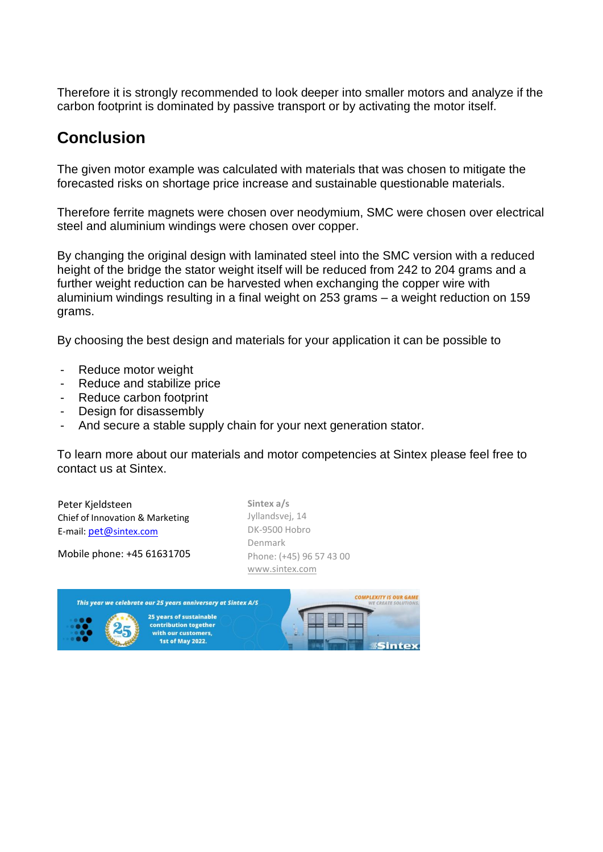Therefore it is strongly recommended to look deeper into smaller motors and analyze if the carbon footprint is dominated by passive transport or by activating the motor itself.

### **Conclusion**

The given motor example was calculated with materials that was chosen to mitigate the forecasted risks on shortage price increase and sustainable questionable materials.

Therefore ferrite magnets were chosen over neodymium, SMC were chosen over electrical steel and aluminium windings were chosen over copper.

By changing the original design with laminated steel into the SMC version with a reduced height of the bridge the stator weight itself will be reduced from 242 to 204 grams and a further weight reduction can be harvested when exchanging the copper wire with aluminium windings resulting in a final weight on 253 grams – a weight reduction on 159 grams.

By choosing the best design and materials for your application it can be possible to

- Reduce motor weight
- Reduce and stabilize price
- Reduce carbon footprint
- Design for disassembly
- And secure a stable supply chain for your next generation stator.

To learn more about our materials and motor competencies at Sintex please feel free to contact us at Sintex.

Peter Kjeldsteen Chief of Innovation & Marketing E-mail: [pet@](mailto:pet@sintex.com)[sintex.com](mailto:pet@sintex.com)

Mobile phone: +45 61631705

**Sintex a/s** Jyllandsvej, 14 DK-9500 Hobro Denmark Phone: (+45) 96 57 43 00 [www.sintex.com](http://www.sintex.com/)